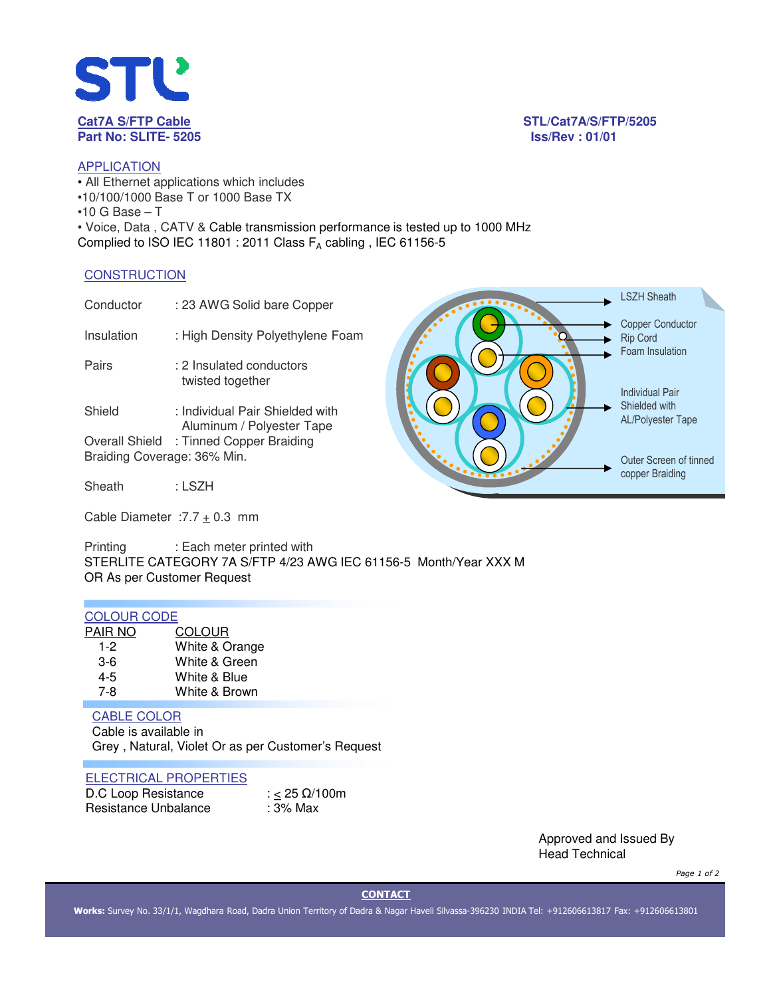

**Cat7A S/FTP Cable STL/Cat7A/S/FTP/5205**

# **APPLICATION**

• All Ethernet applications which includes •10/100/1000 Base T or 1000 Base TX  $•10$  G Base  $-$  T • Voice, Data , CATV & Cable transmission performance is tested up to 1000 MHz Complied to ISO IEC 11801 : 2011 Class  $F_A$  cabling, IEC 61156-5

#### **CONSTRUCTION**

| Conductor                   | : 23 AWG Solid bare Copper                                   | <b>LSZH Sheath</b>                                            |
|-----------------------------|--------------------------------------------------------------|---------------------------------------------------------------|
| Insulation                  | : High Density Polyethylene Foam                             | <b>Copper Conductor</b><br><b>Rip Cord</b><br>Foam Insulation |
| Pairs                       | : 2 Insulated conductors<br>twisted together                 | Individual Pair                                               |
| Shield                      | : Individual Pair Shielded with<br>Aluminum / Polyester Tape | Shielded with<br><b>AL/Polyester Tape</b>                     |
|                             | Overall Shield : Tinned Copper Braiding                      |                                                               |
| Braiding Coverage: 36% Min. |                                                              | Outer Screen of tinned                                        |
| Sheath                      | : LSZH                                                       | copper Braiding                                               |
|                             |                                                              |                                                               |

Cable Diameter :  $7.7 \pm 0.3$  mm

Printing : Each meter printed with STERLITE CATEGORY 7A S/FTP 4/23 AWG IEC 61156-5 Month/Year XXX M OR As per Customer Request

## COLOUR CODE

| <b>COLOUR</b>  |
|----------------|
| White & Orange |
| White & Green  |
| White & Blue   |
| White & Brown  |
|                |

### CABLE COLOR

Cable is available in Grey , Natural, Violet Or as per Customer's Request

#### ELECTRICAL PROPERTIES

| D.C Loop Resistance  | : < 25 $\Omega$ /100m |
|----------------------|-----------------------|
| Resistance Unbalance | : 3% Max              |

Approved and Issued By Head Technical

*Page 1 of 2*

**CONTACT**